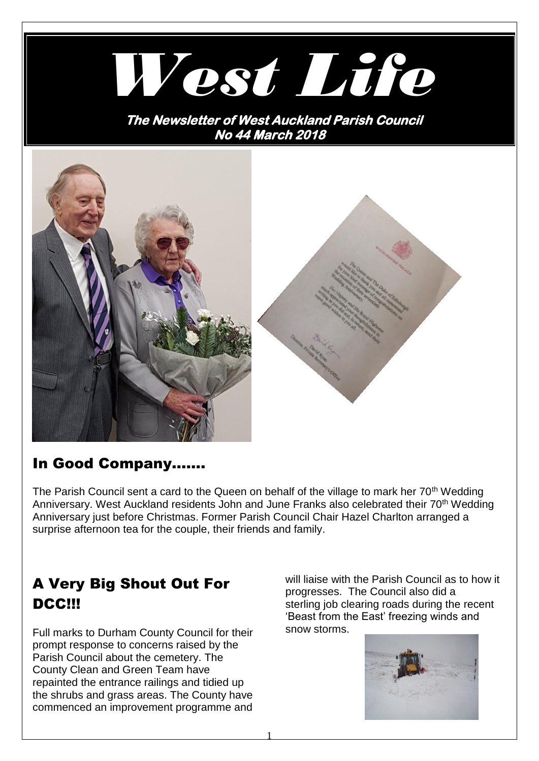

**No 44 March 2018** 



## In Good Company…….

The Parish Council sent a card to the Queen on behalf of the village to mark her 70<sup>th</sup> Wedding Anniversary. West Auckland residents John and June Franks also celebrated their 70<sup>th</sup> Wedding Anniversary just before Christmas. Former Parish Council Chair Hazel Charlton arranged a surprise afternoon tea for the couple, their friends and family.

# A Very Big Shout Out For DCC!!!

Full marks to Durham County Council for their prompt response to concerns raised by the Parish Council about the cemetery. The County Clean and Green Team have repainted the entrance railings and tidied up the shrubs and grass areas. The County have commenced an improvement programme and

will liaise with the Parish Council as to how it progresses. The Council also did a sterling job clearing roads during the recent 'Beast from the East' freezing winds and snow storms.

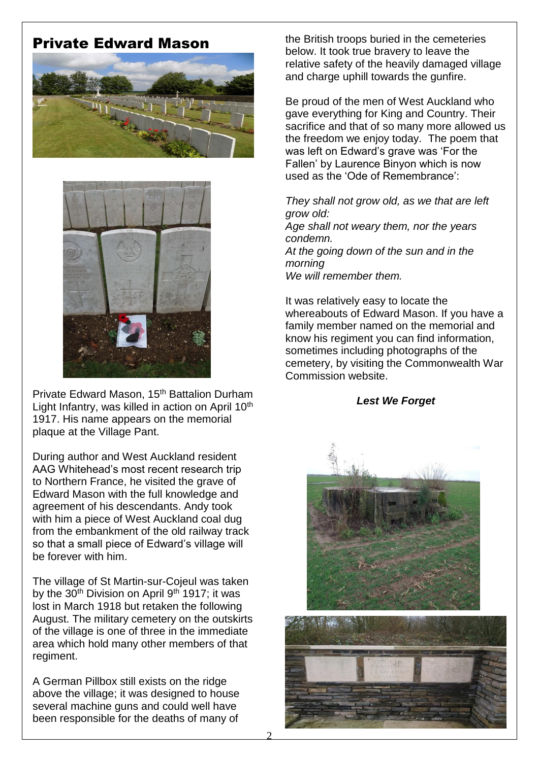## Private Edward Mason





Private Edward Mason, 15th Battalion Durham Light Infantry, was killed in action on April 10<sup>th</sup> 1917. His name appears on the memorial plaque at the Village Pant.

During author and West Auckland resident AAG Whitehead's most recent research trip to Northern France, he visited the grave of Edward Mason with the full knowledge and agreement of his descendants. Andy took with him a piece of West Auckland coal dug from the embankment of the old railway track so that a small piece of Edward's village will be forever with him.

The village of St Martin-sur-Cojeul was taken by the  $30<sup>th</sup>$  Division on April  $9<sup>th</sup>$  1917; it was lost in March 1918 but retaken the following August. The military cemetery on the outskirts of the village is one of three in the immediate area which hold many other members of that regiment.

A German Pillbox still exists on the ridge above the village; it was designed to house several machine guns and could well have been responsible for the deaths of many of

the British troops buried in the cemeteries below. It took true bravery to leave the relative safety of the heavily damaged village and charge uphill towards the gunfire.

Be proud of the men of West Auckland who gave everything for King and Country. Their sacrifice and that of so many more allowed us the freedom we enjoy today. The poem that was left on Edward's grave was 'For the Fallen' by Laurence Binyon which is now used as the 'Ode of Remembrance':

*They shall not grow old, as we that are left grow old: Age shall not weary them, nor the years condemn. At the going down of the sun and in the morning We will remember them.*

It was relatively easy to locate the whereabouts of Edward Mason. If you have a family member named on the memorial and know his regiment you can find information, sometimes including photographs of the cemetery, by visiting the Commonwealth War Commission website.

#### *Lest We Forget*



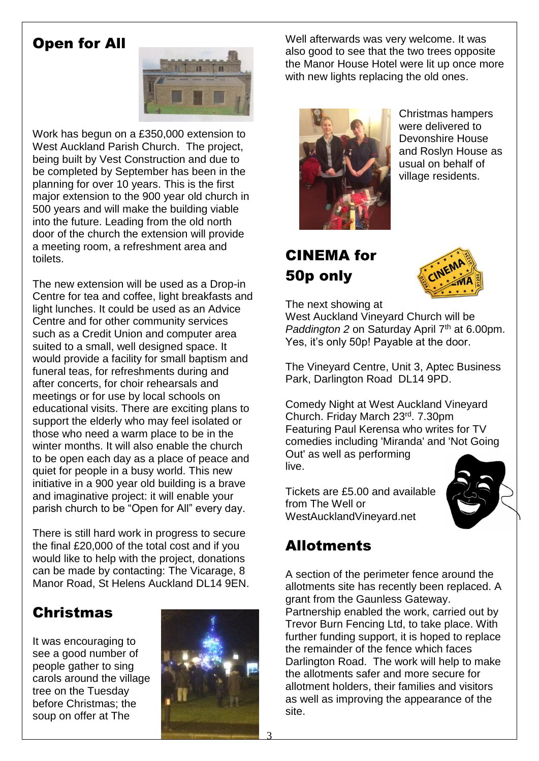## Open for All



Work has begun on a £350,000 extension to West Auckland Parish Church. The project, being built by Vest Construction and due to be completed by September has been in the planning for over 10 years. This is the first major extension to the 900 year old church in 500 years and will make the building viable into the future. Leading from the old north door of the church the extension will provide a meeting room, a refreshment area and toilets.

The new extension will be used as a Drop-in Centre for tea and coffee, light breakfasts and light lunches. It could be used as an Advice Centre and for other community services such as a Credit Union and computer area suited to a small, well designed space. It would provide a facility for small baptism and funeral teas, for refreshments during and after concerts, for choir rehearsals and meetings or for use by local schools on educational visits. There are exciting plans to support the elderly who may feel isolated or those who need a warm place to be in the winter months. It will also enable the church to be open each day as a place of peace and quiet for people in a busy world. This new initiative in a 900 year old building is a brave and imaginative project: it will enable your parish church to be "Open for All" every day.

There is still hard work in progress to secure the final £20,000 of the total cost and if you would like to help with the project, donations can be made by contacting: The Vicarage, 8 Manor Road, St Helens Auckland DL14 9EN.

# Christmas

It was encouraging to see a good number of people gather to sing carols around the village tree on the Tuesday before Christmas; the soup on offer at The



Well afterwards was very welcome. It was also good to see that the two trees opposite the Manor House Hotel were lit up once more with new lights replacing the old ones.



Christmas hampers were delivered to Devonshire House and Roslyn House as usual on behalf of village residents.

# CINEMA for 50p only



The next showing at

West Auckland Vineyard Church will be *Paddington 2* on Saturday April 7<sup>th</sup> at 6.00pm. Yes, it's only 50p! Payable at the door.

The Vineyard Centre, Unit 3, Aptec Business Park, Darlington Road DL14 9PD.

Comedy Night at West Auckland Vineyard Church. Friday March 23rd . 7.30pm Featuring Paul Kerensa who writes for TV comedies including 'Miranda' and 'Not Going Out' as well as performing live.

Tickets are £5.00 and available from The Well or WestAucklandVineyard.net



# Allotments

A section of the perimeter fence around the allotments site has recently been replaced. A grant from the Gaunless Gateway. Partnership enabled the work, carried out by Trevor Burn Fencing Ltd, to take place. With further funding support, it is hoped to replace the remainder of the fence which faces Darlington Road. The work will help to make the allotments safer and more secure for allotment holders, their families and visitors as well as improving the appearance of the site.